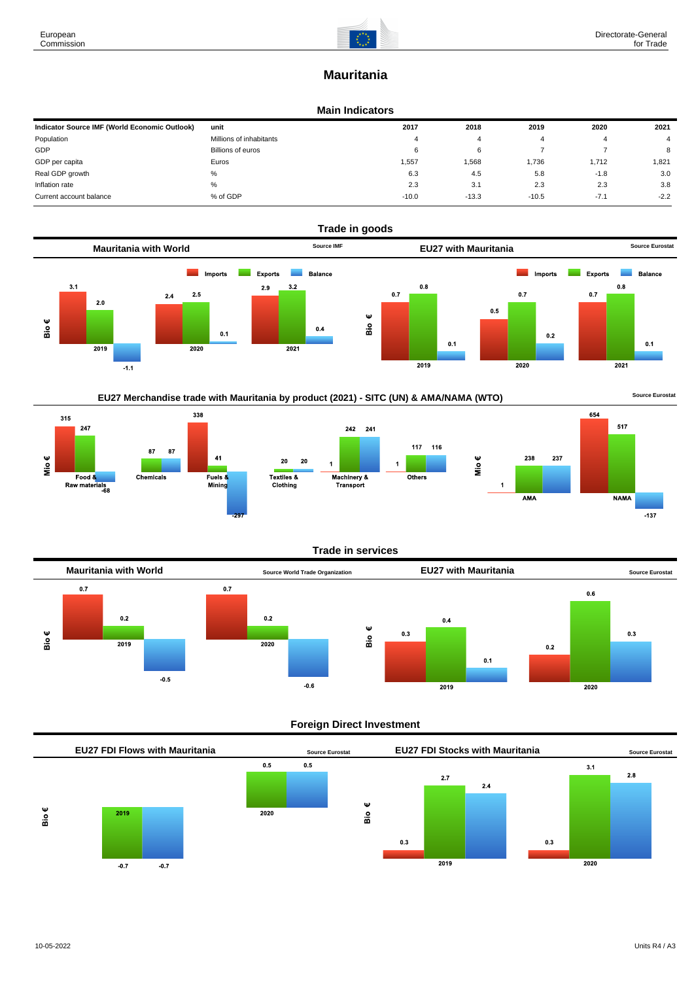# **Mauritania**

### **Main Indicators**

| Indicator Source IMF (World Economic Outlook) | unit                    | 2017    | 2018    | 2019    | 2020   | 2021   |
|-----------------------------------------------|-------------------------|---------|---------|---------|--------|--------|
| Population                                    | Millions of inhabitants |         |         |         |        |        |
| GDP                                           | Billions of euros       | 6       |         |         |        | 8      |
| GDP per capita                                | Euros                   | 1,557   | 1.568   | 1.736   | 1,712  | 1.821  |
| Real GDP growth                               | %                       | 6.3     | 4.5     | 5.8     | $-1.8$ | 3.0    |
| Inflation rate                                | %                       | 2.3     | 3.1     | 2.3     | 2.3    | 3.8    |
| Current account balance                       | % of GDP                | $-10.0$ | $-13.3$ | $-10.5$ | $-7.1$ | $-2.2$ |



## EU27 Merchandise trade with Mauritania by product (2021) - SITC (UN) & AMA/NAMA (WTO) **Source Eurostat**







238

#### **Trade in services**



### **Foreign Direct Investment**